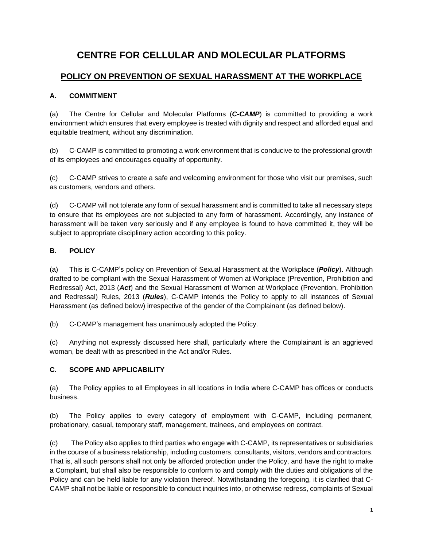# **CENTRE FOR CELLULAR AND MOLECULAR PLATFORMS**

## **POLICY ON PREVENTION OF SEXUAL HARASSMENT AT THE WORKPLACE**

## **A. COMMITMENT**

(a) The Centre for Cellular and Molecular Platforms (*C-CAMP*) is committed to providing a work environment which ensures that every employee is treated with dignity and respect and afforded equal and equitable treatment, without any discrimination.

(b) C-CAMP is committed to promoting a work environment that is conducive to the professional growth of its employees and encourages equality of opportunity.

(c) C-CAMP strives to create a safe and welcoming environment for those who visit our premises, such as customers, vendors and others.

(d) C-CAMP will not tolerate any form of sexual harassment and is committed to take all necessary steps to ensure that its employees are not subjected to any form of harassment. Accordingly, any instance of harassment will be taken very seriously and if any employee is found to have committed it, they will be subject to appropriate disciplinary action according to this policy.

## **B. POLICY**

(a) This is C-CAMP's policy on Prevention of Sexual Harassment at the Workplace (*Policy*). Although drafted to be compliant with the Sexual Harassment of Women at Workplace (Prevention, Prohibition and Redressal) Act, 2013 (*Act*) and the Sexual Harassment of Women at Workplace (Prevention, Prohibition and Redressal) Rules, 2013 (*Rules*), C-CAMP intends the Policy to apply to all instances of Sexual Harassment (as defined below) irrespective of the gender of the Complainant (as defined below).

(b) C-CAMP's management has unanimously adopted the Policy.

(c) Anything not expressly discussed here shall, particularly where the Complainant is an aggrieved woman, be dealt with as prescribed in the Act and/or Rules.

## **C. SCOPE AND APPLICABILITY**

(a) The Policy applies to all Employees in all locations in India where C-CAMP has offices or conducts business.

(b) The Policy applies to every category of employment with C-CAMP, including permanent, probationary, casual, temporary staff, management, trainees, and employees on contract.

(c) The Policy also applies to third parties who engage with C-CAMP, its representatives or subsidiaries in the course of a business relationship, including customers, consultants, visitors, vendors and contractors. That is, all such persons shall not only be afforded protection under the Policy, and have the right to make a Complaint, but shall also be responsible to conform to and comply with the duties and obligations of the Policy and can be held liable for any violation thereof. Notwithstanding the foregoing, it is clarified that C-CAMP shall not be liable or responsible to conduct inquiries into, or otherwise redress, complaints of Sexual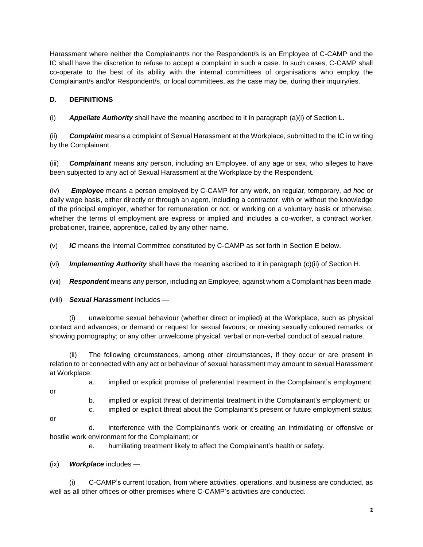Harassment where neither the Complainant/s nor the Respondent/s is an Employee of C-CAMP and the IC shall have the discretion to refuse to accept a complaint in such a case. In such cases, C-CAMP shall co-operate to the best of its ability with the internal committees of organisations who employ the Complainant/s and/or Respondent/s, or local committees, as the case may be, during their inquiry/ies.

## **D. DEFINITIONS**

(i) *Appellate Authority* shall have the meaning ascribed to it in paragraph (a)(i) of Section L.

(ii) *Complaint* means a complaint of Sexual Harassment at the Workplace, submitted to the IC in writing by the Complainant.

(iii) *Complainant* means any person, including an Employee, of any age or sex, who alleges to have been subjected to any act of Sexual Harassment at the Workplace by the Respondent.

(iv) *Employee* means a person employed by C-CAMP for any work, on regular, temporary, *ad hoc* or daily wage basis, either directly or through an agent, including a contractor, with or without the knowledge of the principal employer, whether for remuneration or not, or working on a voluntary basis or otherwise, whether the terms of employment are express or implied and includes a co-worker, a contract worker, probationer, trainee, apprentice, called by any other name.

(v) *IC* means the Internal Committee constituted by C-CAMP as set forth in Section E below.

(vi) *Implementing Authority* shall have the meaning ascribed to it in paragraph (c)(ii) of Section H.

(vii) *Respondent* means any person, including an Employee, against whom a Complaint has been made.

(viii) *Sexual Harassment* includes —

(i) unwelcome sexual behaviour (whether direct or implied) at the Workplace, such as physical contact and advances; or demand or request for sexual favours; or making sexually coloured remarks; or showing pornography; or any other unwelcome physical, verbal or non-verbal conduct of sexual nature.

(ii) The following circumstances, among other circumstances, if they occur or are present in relation to or connected with any act or behaviour of sexual harassment may amount to sexual Harassment at Workplace:

- 
- a. implied or explicit promise of preferential treatment in the Complainant's employment;
- or
- b. implied or explicit threat of detrimental treatment in the Complainant's employment; or
- c. implied or explicit threat about the Complainant's present or future employment status;
- or

d. interference with the Complainant's work or creating an intimidating or offensive or hostile work environment for the Complainant; or

e. humiliating treatment likely to affect the Complainant's health or safety.

## (ix) *Workplace* includes —

(i) C-CAMP's current location, from where activities, operations, and business are conducted, as well as all other offices or other premises where C-CAMP's activities are conducted.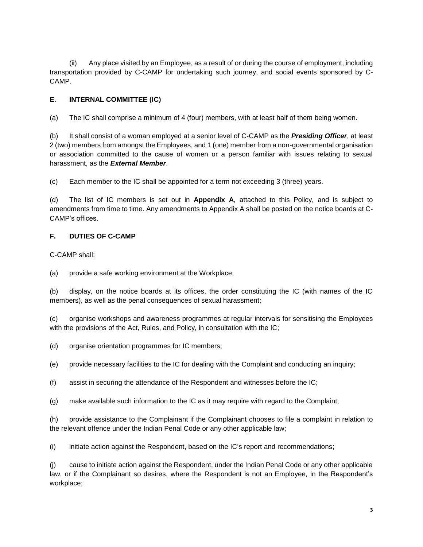(ii) Any place visited by an Employee, as a result of or during the course of employment, including transportation provided by C-CAMP for undertaking such journey, and social events sponsored by C-CAMP.

## **E. INTERNAL COMMITTEE (IC)**

(a) The IC shall comprise a minimum of 4 (four) members, with at least half of them being women.

(b) It shall consist of a woman employed at a senior level of C-CAMP as the *Presiding Officer*, at least 2 (two) members from amongst the Employees, and 1 (one) member from a non-governmental organisation or association committed to the cause of women or a person familiar with issues relating to sexual harassment, as the *External Member*.

(c) Each member to the IC shall be appointed for a term not exceeding 3 (three) years.

(d) The list of IC members is set out in **Appendix A**, attached to this Policy, and is subject to amendments from time to time. Any amendments to Appendix A shall be posted on the notice boards at C-CAMP's offices.

## **F. DUTIES OF C-CAMP**

C-CAMP shall:

(a) provide a safe working environment at the Workplace;

(b) display, on the notice boards at its offices, the order constituting the IC (with names of the IC members), as well as the penal consequences of sexual harassment;

(c) organise workshops and awareness programmes at regular intervals for sensitising the Employees with the provisions of the Act, Rules, and Policy, in consultation with the IC;

(d) organise orientation programmes for IC members;

(e) provide necessary facilities to the IC for dealing with the Complaint and conducting an inquiry;

(f) assist in securing the attendance of the Respondent and witnesses before the IC;

(g) make available such information to the IC as it may require with regard to the Complaint;

(h) provide assistance to the Complainant if the Complainant chooses to file a complaint in relation to the relevant offence under the Indian Penal Code or any other applicable law;

(i) initiate action against the Respondent, based on the IC's report and recommendations;

(j) cause to initiate action against the Respondent, under the Indian Penal Code or any other applicable law, or if the Complainant so desires, where the Respondent is not an Employee, in the Respondent's workplace;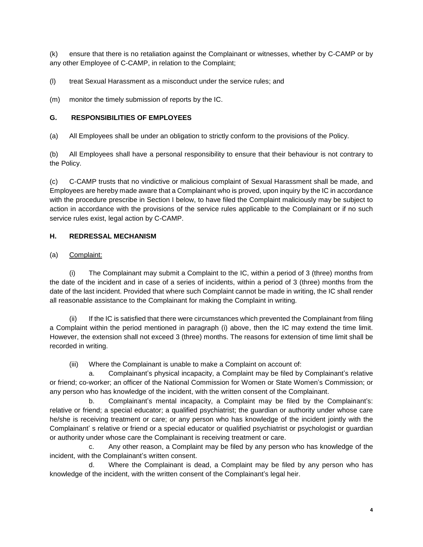(k) ensure that there is no retaliation against the Complainant or witnesses, whether by C-CAMP or by any other Employee of C-CAMP, in relation to the Complaint;

(l) treat Sexual Harassment as a misconduct under the service rules; and

(m) monitor the timely submission of reports by the IC.

#### **G. RESPONSIBILITIES OF EMPLOYEES**

(a) All Employees shall be under an obligation to strictly conform to the provisions of the Policy.

(b) All Employees shall have a personal responsibility to ensure that their behaviour is not contrary to the Policy.

(c) C-CAMP trusts that no vindictive or malicious complaint of Sexual Harassment shall be made, and Employees are hereby made aware that a Complainant who is proved, upon inquiry by the IC in accordance with the procedure prescribe in Section I below, to have filed the Complaint maliciously may be subject to action in accordance with the provisions of the service rules applicable to the Complainant or if no such service rules exist, legal action by C-CAMP.

#### **H. REDRESSAL MECHANISM**

#### (a) Complaint:

The Complainant may submit a Complaint to the IC, within a period of 3 (three) months from the date of the incident and in case of a series of incidents, within a period of 3 (three) months from the date of the last incident. Provided that where such Complaint cannot be made in writing, the IC shall render all reasonable assistance to the Complainant for making the Complaint in writing.

(ii) If the IC is satisfied that there were circumstances which prevented the Complainant from filing a Complaint within the period mentioned in paragraph (i) above, then the IC may extend the time limit. However, the extension shall not exceed 3 (three) months. The reasons for extension of time limit shall be recorded in writing.

(iii) Where the Complainant is unable to make a Complaint on account of:

a. Complainant's physical incapacity, a Complaint may be filed by Complainant's relative or friend; co-worker; an officer of the National Commission for Women or State Women's Commission; or any person who has knowledge of the incident, with the written consent of the Complainant.

b. Complainant's mental incapacity, a Complaint may be filed by the Complainant's: relative or friend; a special educator; a qualified psychiatrist; the guardian or authority under whose care he/she is receiving treatment or care; or any person who has knowledge of the incident jointly with the Complainant' s relative or friend or a special educator or qualified psychiatrist or psychologist or guardian or authority under whose care the Complainant is receiving treatment or care.

c. Any other reason, a Complaint may be filed by any person who has knowledge of the incident, with the Complainant's written consent.

d. Where the Complainant is dead, a Complaint may be filed by any person who has knowledge of the incident, with the written consent of the Complainant's legal heir.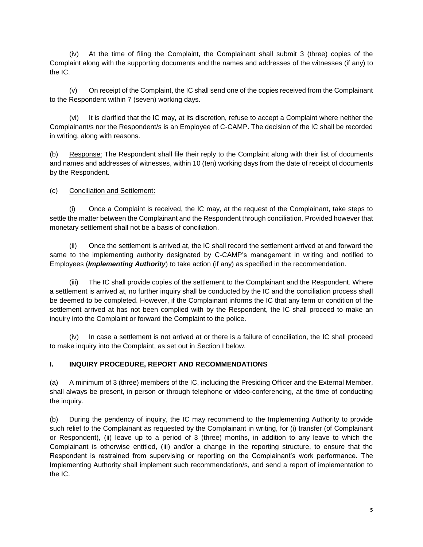(iv) At the time of filing the Complaint, the Complainant shall submit 3 (three) copies of the Complaint along with the supporting documents and the names and addresses of the witnesses (if any) to the IC.

(v) On receipt of the Complaint, the IC shall send one of the copies received from the Complainant to the Respondent within 7 (seven) working days.

(vi) It is clarified that the IC may, at its discretion, refuse to accept a Complaint where neither the Complainant/s nor the Respondent/s is an Employee of C-CAMP. The decision of the IC shall be recorded in writing, along with reasons.

(b) Response: The Respondent shall file their reply to the Complaint along with their list of documents and names and addresses of witnesses, within 10 (ten) working days from the date of receipt of documents by the Respondent.

#### (c) Conciliation and Settlement:

(i) Once a Complaint is received, the IC may, at the request of the Complainant, take steps to settle the matter between the Complainant and the Respondent through conciliation. Provided however that monetary settlement shall not be a basis of conciliation.

(ii) Once the settlement is arrived at, the IC shall record the settlement arrived at and forward the same to the implementing authority designated by C-CAMP's management in writing and notified to Employees (*Implementing Authority*) to take action (if any) as specified in the recommendation.

(iii) The IC shall provide copies of the settlement to the Complainant and the Respondent. Where a settlement is arrived at, no further inquiry shall be conducted by the IC and the conciliation process shall be deemed to be completed. However, if the Complainant informs the IC that any term or condition of the settlement arrived at has not been complied with by the Respondent, the IC shall proceed to make an inquiry into the Complaint or forward the Complaint to the police.

(iv) In case a settlement is not arrived at or there is a failure of conciliation, the IC shall proceed to make inquiry into the Complaint, as set out in Section I below.

## **I. INQUIRY PROCEDURE, REPORT AND RECOMMENDATIONS**

(a) A minimum of 3 (three) members of the IC, including the Presiding Officer and the External Member, shall always be present, in person or through telephone or video-conferencing, at the time of conducting the inquiry.

(b) During the pendency of inquiry, the IC may recommend to the Implementing Authority to provide such relief to the Complainant as requested by the Complainant in writing, for (i) transfer (of Complainant or Respondent), (ii) leave up to a period of 3 (three) months, in addition to any leave to which the Complainant is otherwise entitled, (iii) and/or a change in the reporting structure, to ensure that the Respondent is restrained from supervising or reporting on the Complainant's work performance. The Implementing Authority shall implement such recommendation/s, and send a report of implementation to the IC.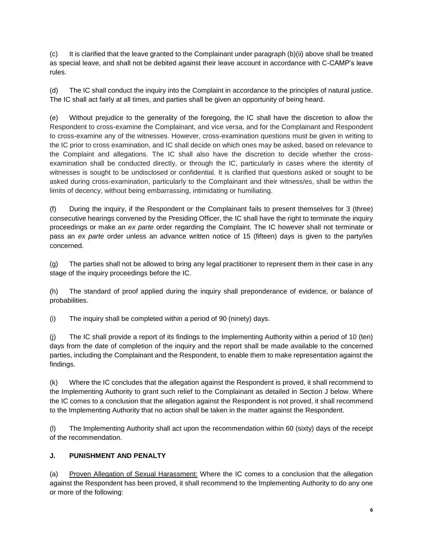(c) It is clarified that the leave granted to the Complainant under paragraph (b)(ii) above shall be treated as special leave, and shall not be debited against their leave account in accordance with C-CAMP's leave rules.

(d) The IC shall conduct the inquiry into the Complaint in accordance to the principles of natural justice. The IC shall act fairly at all times, and parties shall be given an opportunity of being heard.

(e) Without prejudice to the generality of the foregoing, the IC shall have the discretion to allow the Respondent to cross-examine the Complainant, and vice versa, and for the Complainant and Respondent to cross-examine any of the witnesses. However, cross-examination questions must be given in writing to the IC prior to cross examination, and IC shall decide on which ones may be asked, based on relevance to the Complaint and allegations. The IC shall also have the discretion to decide whether the crossexamination shall be conducted directly, or through the IC, particularly in cases where the identity of witnesses is sought to be undisclosed or confidential. It is clarified that questions asked or sought to be asked during cross-examination, particularly to the Complainant and their witness/es, shall be within the limits of decency, without being embarrassing, intimidating or humiliating.

(f) During the inquiry, if the Respondent or the Complainant fails to present themselves for 3 (three) consecutive hearings convened by the Presiding Officer, the IC shall have the right to terminate the inquiry proceedings or make an *ex parte* order regarding the Complaint. The IC however shall not terminate or pass an *ex parte* order unless an advance written notice of 15 (fifteen) days is given to the party/ies concerned.

(g) The parties shall not be allowed to bring any legal practitioner to represent them in their case in any stage of the inquiry proceedings before the IC.

(h) The standard of proof applied during the inquiry shall preponderance of evidence, or balance of probabilities.

(i) The inquiry shall be completed within a period of 90 (ninety) days.

(j) The IC shall provide a report of its findings to the Implementing Authority within a period of 10 (ten) days from the date of completion of the inquiry and the report shall be made available to the concerned parties, including the Complainant and the Respondent, to enable them to make representation against the findings.

(k) Where the IC concludes that the allegation against the Respondent is proved, it shall recommend to the Implementing Authority to grant such relief to the Complainant as detailed in Section J below. Where the IC comes to a conclusion that the allegation against the Respondent is not proved, it shall recommend to the Implementing Authority that no action shall be taken in the matter against the Respondent.

(l) The Implementing Authority shall act upon the recommendation within 60 (sixty) days of the receipt of the recommendation.

## **J. PUNISHMENT AND PENALTY**

(a) Proven Allegation of Sexual Harassment: Where the IC comes to a conclusion that the allegation against the Respondent has been proved, it shall recommend to the Implementing Authority to do any one or more of the following: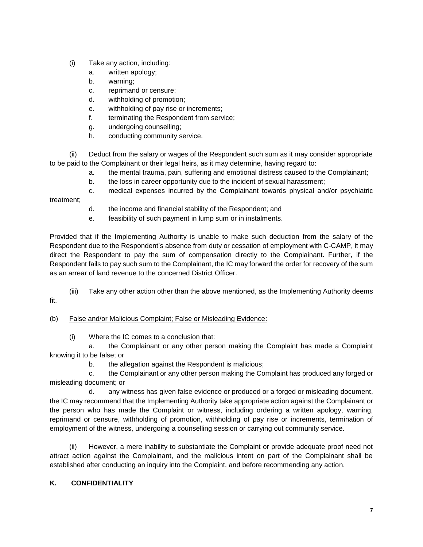- (i) Take any action, including:
	- a. written apology;
	- b. warning;
	- c. reprimand or censure;
	- d. withholding of promotion;
	- e. withholding of pay rise or increments;
	- f. terminating the Respondent from service;
	- g. undergoing counselling;
	- h. conducting community service.

(ii) Deduct from the salary or wages of the Respondent such sum as it may consider appropriate to be paid to the Complainant or their legal heirs, as it may determine, having regard to:

- a. the mental trauma, pain, suffering and emotional distress caused to the Complainant;
- b. the loss in career opportunity due to the incident of sexual harassment;
- c. medical expenses incurred by the Complainant towards physical and/or psychiatric

treatment;

- d. the income and financial stability of the Respondent; and
- e. feasibility of such payment in lump sum or in instalments.

Provided that if the Implementing Authority is unable to make such deduction from the salary of the Respondent due to the Respondent's absence from duty or cessation of employment with C-CAMP, it may direct the Respondent to pay the sum of compensation directly to the Complainant. Further, if the Respondent fails to pay such sum to the Complainant, the IC may forward the order for recovery of the sum as an arrear of land revenue to the concerned District Officer.

- (iii) Take any other action other than the above mentioned, as the Implementing Authority deems fit.
- (b) False and/or Malicious Complaint; False or Misleading Evidence:
	- (i) Where the IC comes to a conclusion that:

a. the Complainant or any other person making the Complaint has made a Complaint knowing it to be false; or

b. the allegation against the Respondent is malicious;

c. the Complainant or any other person making the Complaint has produced any forged or misleading document; or

d. any witness has given false evidence or produced or a forged or misleading document, the IC may recommend that the Implementing Authority take appropriate action against the Complainant or the person who has made the Complaint or witness, including ordering a written apology, warning, reprimand or censure, withholding of promotion, withholding of pay rise or increments, termination of employment of the witness, undergoing a counselling session or carrying out community service.

(ii) However, a mere inability to substantiate the Complaint or provide adequate proof need not attract action against the Complainant, and the malicious intent on part of the Complainant shall be established after conducting an inquiry into the Complaint, and before recommending any action.

## **K. CONFIDENTIALITY**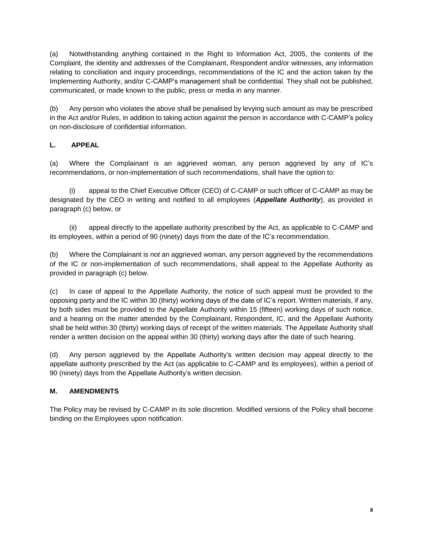(a) Notwithstanding anything contained in the Right to Information Act, 2005, the contents of the Complaint, the identity and addresses of the Complainant, Respondent and/or witnesses, any information relating to conciliation and inquiry proceedings, recommendations of the IC and the action taken by the Implementing Authority, and/or C-CAMP's management shall be confidential. They shall not be published, communicated, or made known to the public, press or media in any manner.

(b) Any person who violates the above shall be penalised by levying such amount as may be prescribed in the Act and/or Rules, in addition to taking action against the person in accordance with C-CAMP's policy on non-disclosure of confidential information.

## **L. APPEAL**

(a) Where the Complainant is an aggrieved woman, any person aggrieved by any of IC's recommendations, or non-implementation of such recommendations, shall have the option to:

(i) appeal to the Chief Executive Officer (CEO) of C-CAMP or such officer of C-CAMP as may be designated by the CEO in writing and notified to all employees (*Appellate Authority*), as provided in paragraph (c) below, or

(ii) appeal directly to the appellate authority prescribed by the Act, as applicable to C-CAMP and its employees, within a period of 90 (ninety) days from the date of the IC's recommendation.

(b) Where the Complainant is *not* an aggrieved woman, any person aggrieved by the recommendations of the IC or non-implementation of such recommendations, shall appeal to the Appellate Authority as provided in paragraph (c) below.

(c) In case of appeal to the Appellate Authority, the notice of such appeal must be provided to the opposing party and the IC within 30 (thirty) working days of the date of IC's report. Written materials, if any, by both sides must be provided to the Appellate Authority within 15 (fifteen) working days of such notice, and a hearing on the matter attended by the Complainant, Respondent, IC, and the Appellate Authority shall be held within 30 (thirty) working days of receipt of the written materials. The Appellate Authority shall render a written decision on the appeal within 30 (thirty) working days after the date of such hearing.

(d) Any person aggrieved by the Appellate Authority's written decision may appeal directly to the appellate authority prescribed by the Act (as applicable to C-CAMP and its employees), within a period of 90 (ninety) days from the Appellate Authority's written decision.

## **M. AMENDMENTS**

The Policy may be revised by C-CAMP in its sole discretion. Modified versions of the Policy shall become binding on the Employees upon notification.